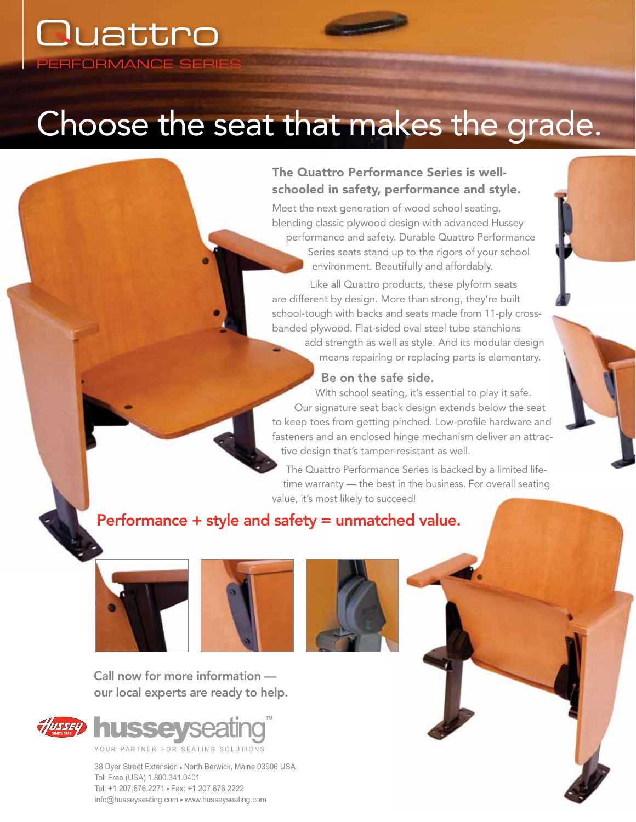# Choose the seat that makes the grade.

## The Quattro Performance Series is wellschooled in safety, performance and style.

Meet the next generation of wood school seating, blending classic plywood design with advanced Hussey performance and safety. Durable Quattro Performance Series seats stand up to the rigors of your school environment. Beautifully and affordably.

Like all Quattro products, these plyform seats are different by design. More than strong, they're built school-tough with backs and seats made from 11-ply crossbanded plywood. Flat-sided oval steel tube stanchions add strength as well as style. And its modular design

means repairing or replacing parts is elementary.

#### Be on the safe side.

With school seating, it's essential to play it safe. Our signature seat back design extends below the seat to keep toes from getting pinched. Low-profile hardware and fasteners and an enclosed hinge mechanism deliver an attractive design that's tamper-resistant as well.

The Quattro Performance Series is backed by a limited lifetime warranty — the best in the business. For overall seating value, it's most likely to succeed!

# Performance + style and safety = unmatched value.



PERFORMANCE SERIE

**Quattro** 





Call now for more information our local experts are ready to help.



38 Dyer Street Extension - North Berwick, Maine 03906 USA Toll Free (USA) 1.800.341.0401 Tel: +1.207.676.2271 - Fax: +1.207.676.2222 info@husseyseating.com = www.husseyseating.com